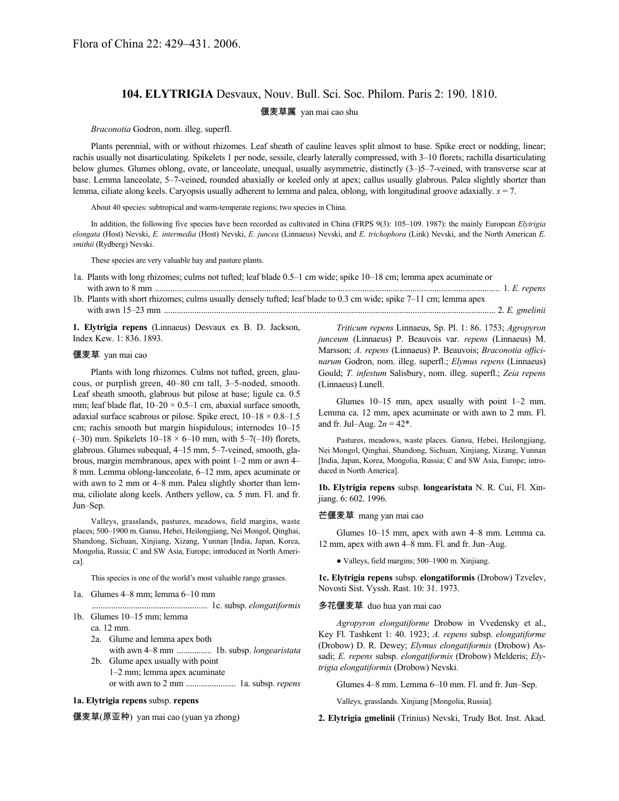# **104. ELYTRIGIA** Desvaux, Nouv. Bull. Sci. Soc. Philom. Paris 2: 190. 1810.

偃麦草属 yan mai cao shu

*Braconotia* Godron, nom. illeg. superfl.

Plants perennial, with or without rhizomes. Leaf sheath of cauline leaves split almost to base. Spike erect or nodding, linear; rachis usually not disarticulating. Spikelets 1 per node, sessile, clearly laterally compressed, with 3–10 florets; rachilla disarticulating below glumes. Glumes oblong, ovate, or lanceolate, unequal, usually asymmetric, distinctly  $(3-)5-7$ -veined, with transverse scar at base. Lemma lanceolate, 5–7-veined, rounded abaxially or keeled only at apex; callus usually glabrous. Palea slightly shorter than lemma, ciliate along keels. Caryopsis usually adherent to lemma and palea, oblong, with longitudinal groove adaxially. *x* = 7.

About 40 species: subtropical and warm-temperate regions; two species in China.

In addition, the following five species have been recorded as cultivated in China (FRPS 9(3): 105–109. 1987): the mainly European *Elytrigia elongata* (Host) Nevski, *E. intermedia* (Host) Nevski, *E. juncea* (Linnaeus) Nevski, and *E. trichophora* (Link) Nevski, and the North American *E. smithii* (Rydberg) Nevski.

These species are very valuable hay and pasture plants.

- 1a. Plants with long rhizomes; culms not tufted; leaf blade 0.5–1 cm wide; spike 10–18 cm; lemma apex acuminate or
- with awn to 8 mm .............................................................................................................................................................. 1. *E. repens* 1b. Plants with short rhizomes; culms usually densely tufted; leaf blade to 0.3 cm wide; spike 7–11 cm; lemma apex with awn 15–23 mm ........................................................................................................................................................ 2. *E. gmelinii*

**1. Elytrigia repens** (Linnaeus) Desvaux ex B. D. Jackson, Index Kew. 1: 836. 1893.

#### 偃麦草 yan mai cao

Plants with long rhizomes. Culms not tufted, green, glaucous, or purplish green, 40–80 cm tall, 3–5-noded, smooth. Leaf sheath smooth, glabrous but pilose at base; ligule ca. 0.5 mm; leaf blade flat,  $10-20 \times 0.5-1$  cm, abaxial surface smooth, adaxial surface scabrous or pilose. Spike erect,  $10-18 \times 0.8-1.5$ cm; rachis smooth but margin hispidulous; internodes 10–15 (-30) mm. Spikelets  $10-18 \times 6-10$  mm, with  $5-7(-10)$  florets, glabrous. Glumes subequal, 4–15 mm, 5–7-veined, smooth, glabrous, margin membranous, apex with point 1–2 mm or awn 4– 8 mm. Lemma oblong-lanceolate, 6–12 mm, apex acuminate or with awn to 2 mm or 4–8 mm. Palea slightly shorter than lemma, ciliolate along keels. Anthers yellow, ca. 5 mm. Fl. and fr. Jun–Sep.

Valleys, grasslands, pastures, meadows, field margins, waste places; 500–1900 m.Gansu, Hebei, Heilongjiang, Nei Mongol, Qinghai, Shandong, Sichuan, Xinjiang, Xizang, Yunnan [India, Japan, Korea, Mongolia, Russia; C and SW Asia, Europe; introduced in North America].

This species is one of the world's most valuable range grasses.

- 1a. Glumes 4–8 mm; lemma 6–10 mm
- ..................................................... 1c. subsp. *elongatiformis* 1b. Glumes 10–15 mm; lemma
	- ca. 12 mm.
		- 2a. Glume and lemma apex both
		- with awn 4–8 mm ................ 1b. subsp. *longearistata* 2b. Glume apex usually with point
		- 1–2 mm; lemma apex acuminate or with awn to 2 mm ....................... 1a. subsp. *repens*

### **1a. Elytrigia repens** subsp. **repens**

偃麦草(原亚种) yan mai cao (yuan ya zhong)

*Triticum repens* Linnaeus, Sp. Pl. 1: 86. 1753; *Agropyron junceum* (Linnaeus) P. Beauvois var. *repens* (Linnaeus) M. Marsson; *A. repens* (Linnaeus) P. Beauvois; *Braconotia officinarum* Godron, nom. illeg. superfl.; *Elymus repens* (Linnaeus) Gould; *T. infestum* Salisbury, nom. illeg. superfl.; *Zeia repens* (Linnaeus) Lunell.

Glumes 10–15 mm, apex usually with point 1–2 mm. Lemma ca. 12 mm, apex acuminate or with awn to 2 mm. Fl. and fr. Jul–Aug.  $2n = 42^*$ .

Pastures, meadows, waste places. Gansu, Hebei, Heilongjiang, Nei Mongol, Qinghai, Shandong, Sichuan, Xinjiang, Xizang, Yunnan [India, Japan, Korea, Mongolia, Russia; C and SW Asia, Europe; introduced in North America].

**1b. Elytrigia repens** subsp. **longearistata** N. R. Cui, Fl. Xinjiang. 6: 602. 1996.

#### 芒偃麦草 mang yan mai cao

Glumes 10–15 mm, apex with awn 4–8 mm. Lemma ca. 12 mm, apex with awn 4–8 mm. Fl. and fr. Jun–Aug.

● Valleys, field margins; 500–1900 m. Xinjiang.

**1c. Elytrigia repens** subsp. **elongatiformis** (Drobow) Tzvelev, Novosti Sist. Vyssh. Rast. 10: 31. 1973.

#### 多花偃麦草 duo hua yan mai cao

*Agropyron elongatiforme* Drobow in Vvedensky et al., Key Fl. Tashkent 1: 40. 1923; *A. repens* subsp. *elongatiforme* (Drobow) D. R. Dewey; *Elymus elongatiformis* (Drobow) Assadi; *E. repens* subsp. *elongatiformis* (Drobow) Melderis; *Elytrigia elongatiformis* (Drobow) Nevski.

Glumes 4–8 mm. Lemma 6–10 mm. Fl. and fr. Jun–Sep.

Valleys, grasslands. Xinjiang [Mongolia, Russia].

**2. Elytrigia gmelinii** (Trinius) Nevski, Trudy Bot. Inst. Akad.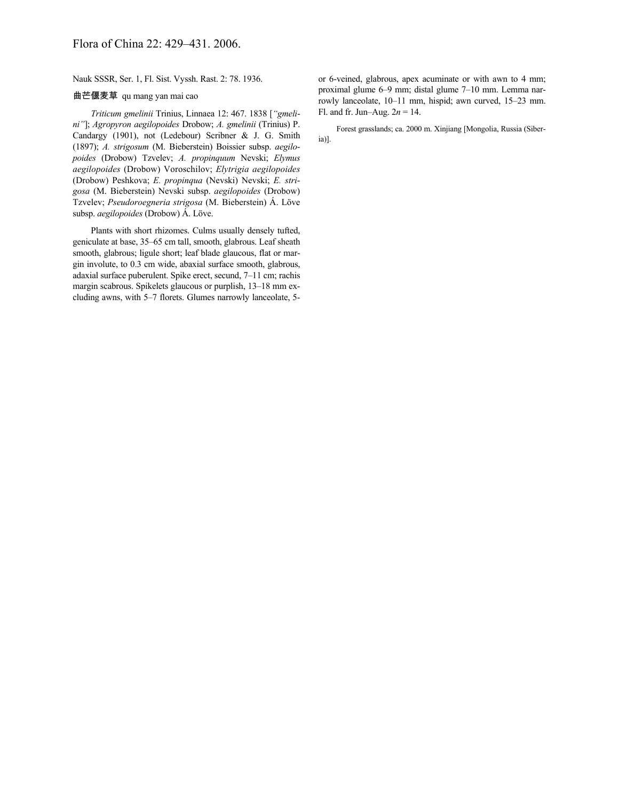Nauk SSSR, Ser. 1, Fl. Sist. Vyssh. Rast. 2: 78. 1936.

## 曲芒偃麦草 qu mang yan mai cao

*Triticum gmelinii* Trinius, Linnaea 12: 467. 1838 [*"gmelini"*]; *Agropyron aegilopoides* Drobow; *A. gmelinii* (Trinius) P. Candargy (1901), not (Ledebour) Scribner & J. G. Smith (1897); *A. strigosum* (M. Bieberstein) Boissier subsp. *aegilopoides* (Drobow) Tzvelev; *A. propinquum* Nevski; *Elymus aegilopoides* (Drobow) Voroschilov; *Elytrigia aegilopoides* (Drobow) Peshkova; *E. propinqua* (Nevski) Nevski; *E. strigosa* (M. Bieberstein) Nevski subsp. *aegilopoides* (Drobow) Tzvelev; *Pseudoroegneria strigosa* (M. Bieberstein) Á. Löve subsp. *aegilopoides* (Drobow) Á. Löve.

Plants with short rhizomes. Culms usually densely tufted, geniculate at base, 35–65 cm tall, smooth, glabrous. Leaf sheath smooth, glabrous; ligule short; leaf blade glaucous, flat or margin involute, to 0.3 cm wide, abaxial surface smooth, glabrous, adaxial surface puberulent. Spike erect, secund, 7–11 cm; rachis margin scabrous. Spikelets glaucous or purplish, 13–18 mm excluding awns, with 5–7 florets. Glumes narrowly lanceolate, 5or 6-veined, glabrous, apex acuminate or with awn to 4 mm; proximal glume 6–9 mm; distal glume 7–10 mm. Lemma narrowly lanceolate, 10–11 mm, hispid; awn curved, 15–23 mm. Fl. and fr. Jun–Aug. 2*n* = 14.

Forest grasslands; ca. 2000 m. Xinjiang [Mongolia, Russia (Siberia)].